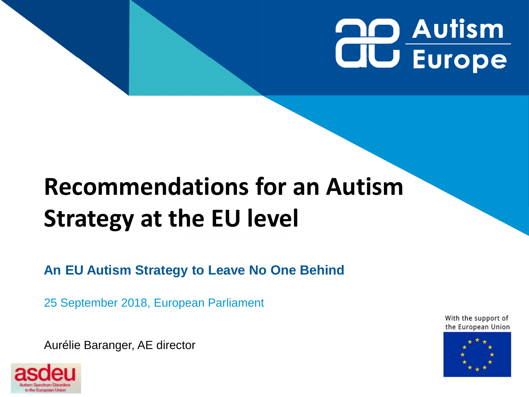# **QO Autism CIU Europe**

# **Recommendations for an Autism Strategy at the EU level**

**An EU Autism Strategy to Leave No One Behind**

25 September 2018, European Parliament

Aurélie Baranger, AE director



With the support of the European Union

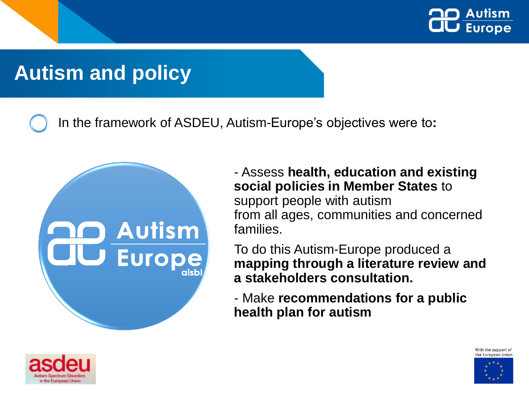

#### **States' autism policies Autism and policy**

**State of the art on Member** 

In the framework of ASDEU, Autism-Europe's objectives were to**:** 



- Assess **health, education and existing social policies in Member States** to support people with autism from all ages, communities and concerned families.

To do this Autism-Europe produced a **mapping through a literature review and a stakeholders consultation.** 

- Make **recommendations for a public health plan for autism**





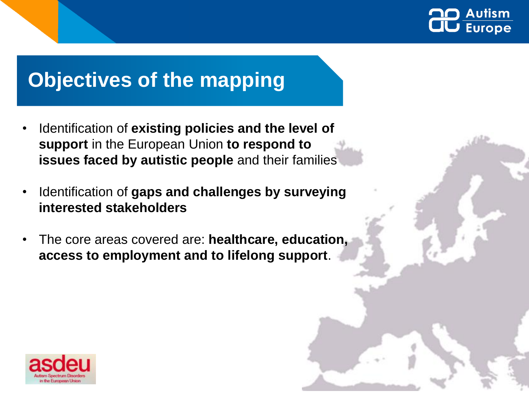

#### **Objectives of the mapping**

- Identification of **existing policies and the level of support** in the European Union **to respond to issues faced by autistic people** and their families
- Identification of **gaps and challenges by surveying interested stakeholders**
- The core areas covered are: **healthcare, education, access to employment and to lifelong support**.

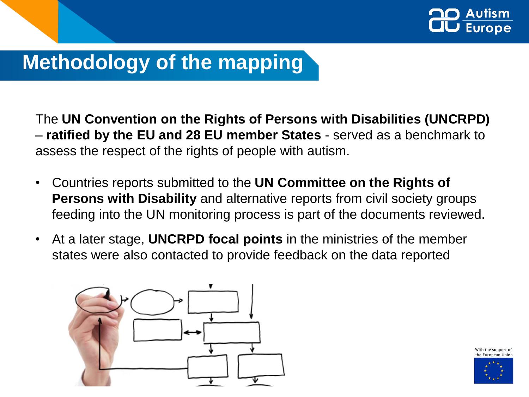

### **Methodology of the mapping**

The **UN Convention on the Rights of Persons with Disabilities (UNCRPD)**  – **ratified by the EU and 28 EU member States** - served as a benchmark to assess the respect of the rights of people with autism.

- Countries reports submitted to the **UN Committee on the Rights of Persons with Disability** and alternative reports from civil society groups feeding into the UN monitoring process is part of the documents reviewed.
- At a later stage, **UNCRPD focal points** in the ministries of the member states were also contacted to provide feedback on the data reported



With the support of the European Ur

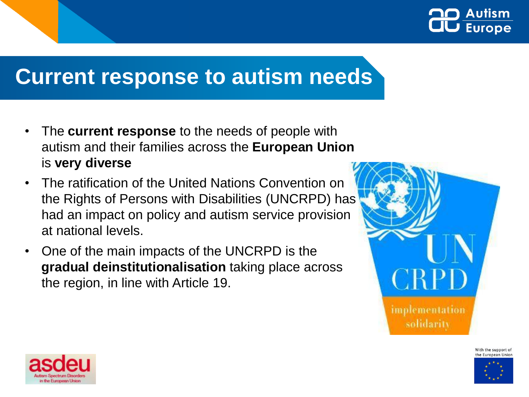

### **Current response to autism needs**

- The **current response** to the needs of people with autism and their families across the **European Union**  is **very diverse**
- The ratification of the United Nations Convention on the Rights of Persons with Disabilities (UNCRPD) has had an impact on policy and autism service provision at national levels.
- One of the main impacts of the UNCRPD is the **gradual deinstitutionalisation** taking place across the region, in line with Article 19.







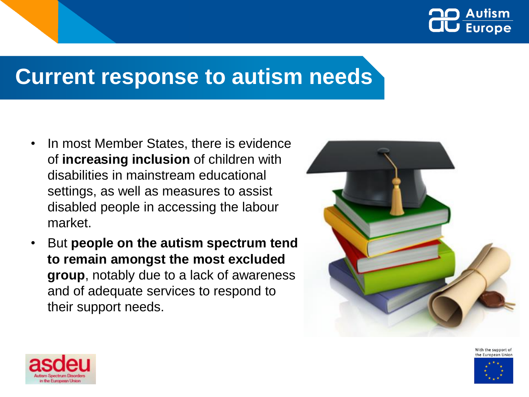

#### **Current response to autism needs**

- In most Member States, there is evidence of **increasing inclusion** of children with disabilities in mainstream educational settings, as well as measures to assist disabled people in accessing the labour market.
- But **people on the autism spectrum tend to remain amongst the most excluded group**, notably due to a lack of awareness and of adequate services to respond to their support needs.



With the support of the European Unior

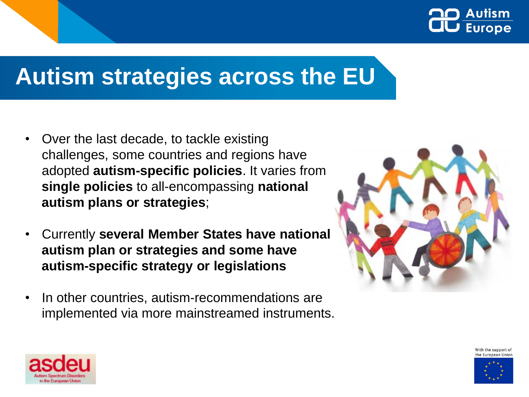

## **Autism strategies across the EU**

- Over the last decade, to tackle existing challenges, some countries and regions have adopted **autism-specific policies**. It varies from **single policies** to all-encompassing **national autism plans or strategies**;
- Currently **several Member States have national autism plan or strategies and some have autism-specific strategy or legislations**
- In other countries, autism-recommendations are implemented via more mainstreamed instruments.







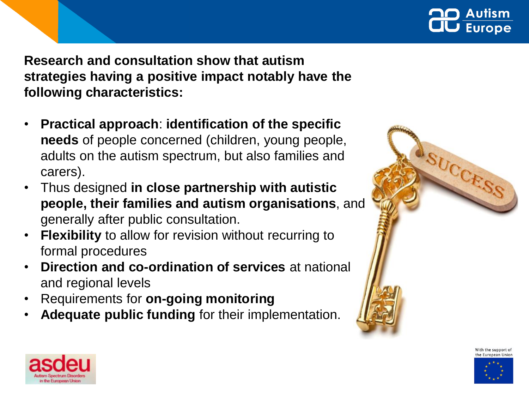

**Initial conclusions Research and consultation show that autism strategies having a positive impact notably have the following characteristics:** 

- **Practical approach**: **identification of the specific needs** of people concerned (children, young people, adults on the autism spectrum, but also families and carers).
- Thus designed **in close partnership with autistic people, their families and autism organisations**, and generally after public consultation.
- **Flexibility** to allow for revision without recurring to formal procedures
- **Direction and co-ordination of services** at national and regional levels
- Requirements for **on-going monitoring**
- **Adequate public funding** for their implementation.





With the support of the European Unior

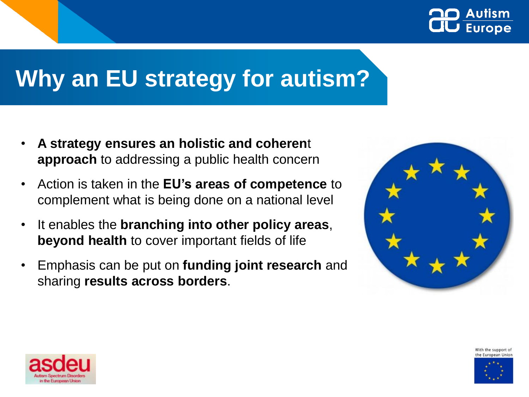

## **Why an EU strategy for autism?**

- **A strategy ensures an holistic and coheren**t **approach** to addressing a public health concern
- Action is taken in the **EU's areas of competence** to complement what is being done on a national level
- It enables the **branching into other policy areas**, **beyond health** to cover important fields of life
- Emphasis can be put on **funding joint research** and sharing **results across borders**.







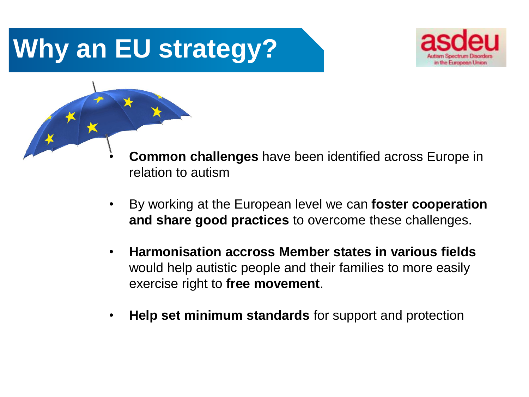

- **Common challenges** have been identified across Europe in relation to autism
- By working at the European level we can **foster cooperation and share good practices** to overcome these challenges.
- **Harmonisation accross Member states in various fields** would help autistic people and their families to more easily exercise right to **free movement**.
- **Help set minimum standards** for support and protection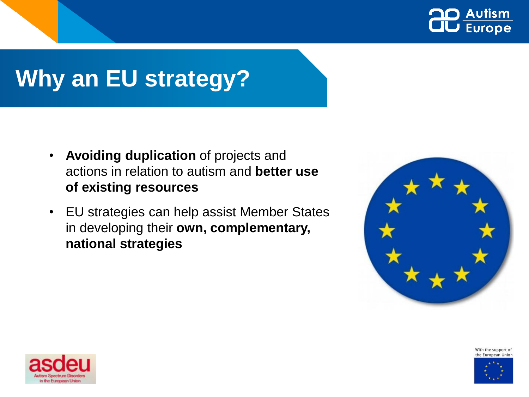

- **Avoiding duplication** of projects and actions in relation to autism and **better use of existing resources**
- EU strategies can help assist Member States in developing their **own, complementary, national strategies**



With the support of the European Union



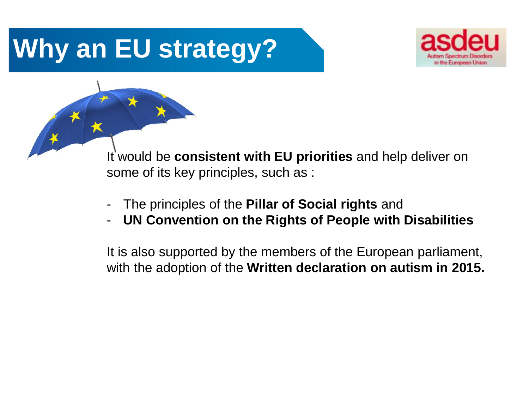

It would be **consistent with EU priorities** and help deliver on some of its key principles, such as :

- The principles of the **Pillar of Social rights** and
- **UN Convention on the Rights of People with Disabilities**

It is also supported by the members of the European parliament, with the adoption of the **Written declaration on autism in 2015.**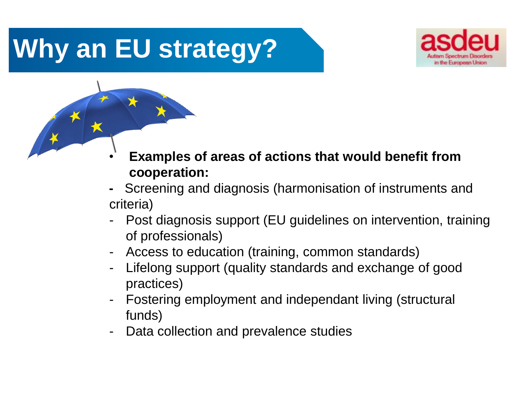

- **Examples of areas of actions that would benefit from cooperation:**
- **-** Screening and diagnosis (harmonisation of instruments and criteria)
- Post diagnosis support (EU guidelines on intervention, training of professionals)
- Access to education (training, common standards)
- Lifelong support (quality standards and exchange of good practices)
- Fostering employment and independant living (structural funds)
- Data collection and prevalence studies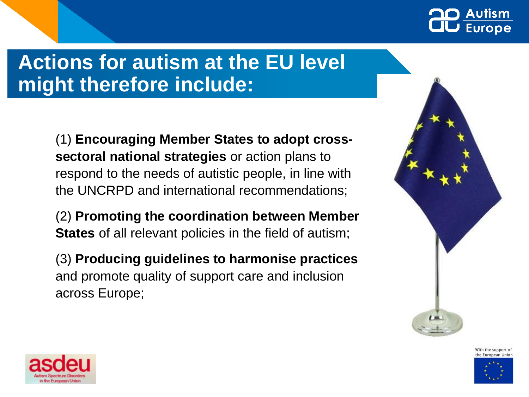

#### **Actions for autism at the EU level might therefore include:**

(1) **Encouraging Member States to adopt crosssectoral national strategies** or action plans to respond to the needs of autistic people, in line with the UNCRPD and international recommendations;

(2) **Promoting the coordination between Member States** of all relevant policies in the field of autism;

(3) **Producing guidelines to harmonise practices** and promote quality of support care and inclusion across Europe;





With the support of the European Ur

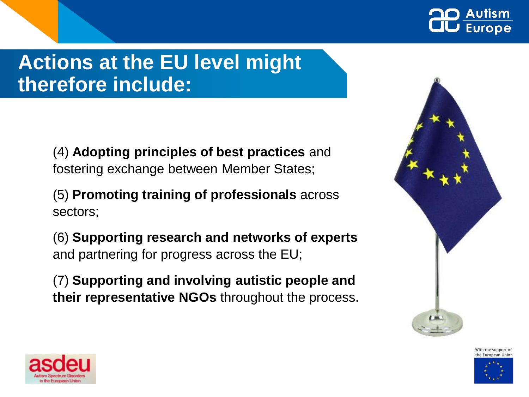

#### **Actions at the EU level might therefore include:**

(4) **Adopting principles of best practices** and fostering exchange between Member States;

(5) **Promoting training of professionals** across sectors;

(6) **Supporting research and networks of experts**  and partnering for progress across the EU;

(7) **Supporting and involving autistic people and their representative NGOs** throughout the process.







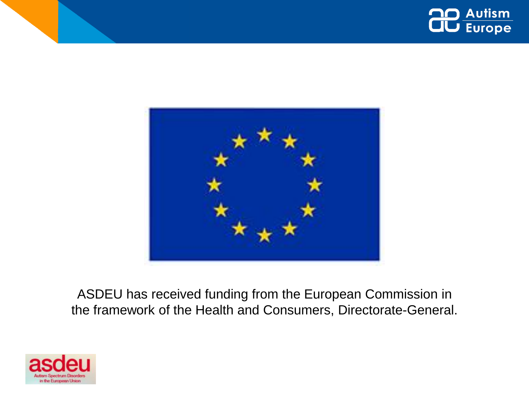



ASDEU has received funding from the European Commission in the framework of the Health and Consumers, Directorate-General.